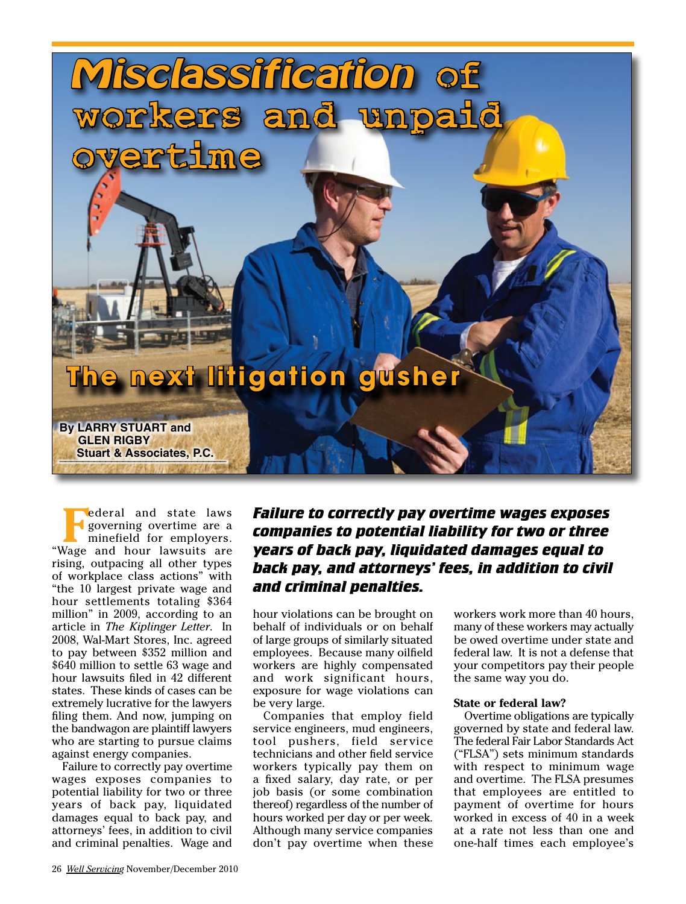

**Federal and state laws**<br>
minefield for employers. governing overtime are a "Wage and hour lawsuits are rising, outpacing all other types of workplace class actions" with "the 10 largest private wage and hour settlements totaling \$364 million" in 2009, according to an article in *The Kiplinger Letter*. In 2008, Wal-Mart Stores, Inc. agreed to pay between \$352 million and \$640 million to settle 63 wage and hour lawsuits filed in 42 different states. These kinds of cases can be extremely lucrative for the lawyers filing them. And now, jumping on the bandwagon are plaintiff lawyers who are starting to pursue claims against energy companies.

Failure to correctly pay overtime wages exposes companies to potential liability for two or three years of back pay, liquidated damages equal to back pay, and attorneys' fees, in addition to civil and criminal penalties. Wage and

## *Failure to correctly pay overtime wages exposes companies to potential liability for two or three years of back pay, liquidated damages equal to back pay, and attorneys' fees, in addition to civil and criminal penalties.*

hour violations can be brought on behalf of individuals or on behalf of large groups of similarly situated employees. Because many oilfield workers are highly compensated and work significant hours, exposure for wage violations can be very large.

Companies that employ field service engineers, mud engineers, tool pushers, field service technicians and other field service workers typically pay them on a fixed salary, day rate, or per job basis (or some combination thereof) regardless of the number of hours worked per day or per week. Although many service companies don't pay overtime when these

workers work more than 40 hours, many of these workers may actually be owed overtime under state and federal law. It is not a defense that your competitors pay their people the same way you do.

### **State or federal law?**

Overtime obligations are typically governed by state and federal law. The federal Fair Labor Standards Act ("FLSA") sets minimum standards with respect to minimum wage and overtime. The FLSA presumes that employees are entitled to payment of overtime for hours worked in excess of 40 in a week at a rate not less than one and one-half times each employee's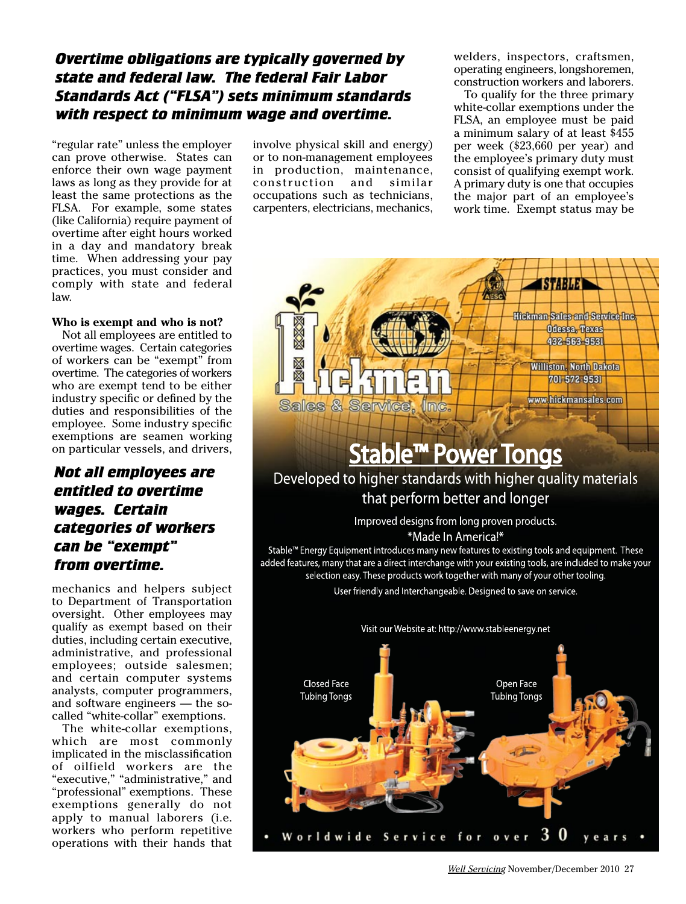## *Overtime obligations are typically governed by state and federal law. The federal Fair Labor Standards Act ("FLSA") sets minimum standards with respect to minimum wage and overtime.*

"regular rate" unless the employer can prove otherwise. States can enforce their own wage payment laws as long as they provide for at least the same protections as the FLSA. For example, some states (like California) require payment of overtime after eight hours worked in a day and mandatory break time. When addressing your pay practices, you must consider and comply with state and federal law.

### **Who is exempt and who is not?**

Not all employees are entitled to overtime wages. Certain categories of workers can be "exempt" from overtime. The categories of workers who are exempt tend to be either industry specific or defined by the duties and responsibilities of the employee. Some industry specific exemptions are seamen working on particular vessels, and drivers,

### *Not all employees are entitled to overtime wages. Certain categories of workers can be "exempt" from overtime.*

mechanics and helpers subject to Department of Transportation oversight. Other employees may qualify as exempt based on their duties, including certain executive, administrative, and professional employees; outside salesmen; and certain computer systems analysts, computer programmers, and software engineers — the socalled "white-collar" exemptions.

The white-collar exemptions, which are most commonly implicated in the misclassification of oilfield workers are the "executive," "administrative," and "professional" exemptions. These exemptions generally do not apply to manual laborers (i.e. workers who perform repetitive operations with their hands that

involve physical skill and energy) or to non-management employees in production, maintenance,<br>construction and similar construction occupations such as technicians, carpenters, electricians, mechanics, welders, inspectors, craftsmen, operating engineers, longshoremen, construction workers and laborers.

To qualify for the three primary white-collar exemptions under the FLSA, an employee must be paid a minimum salary of at least \$455 per week (\$23,660 per year) and the employee's primary duty must consist of qualifying exempt work. A primary duty is one that occupies the major part of an employee's work time. Exempt status may be

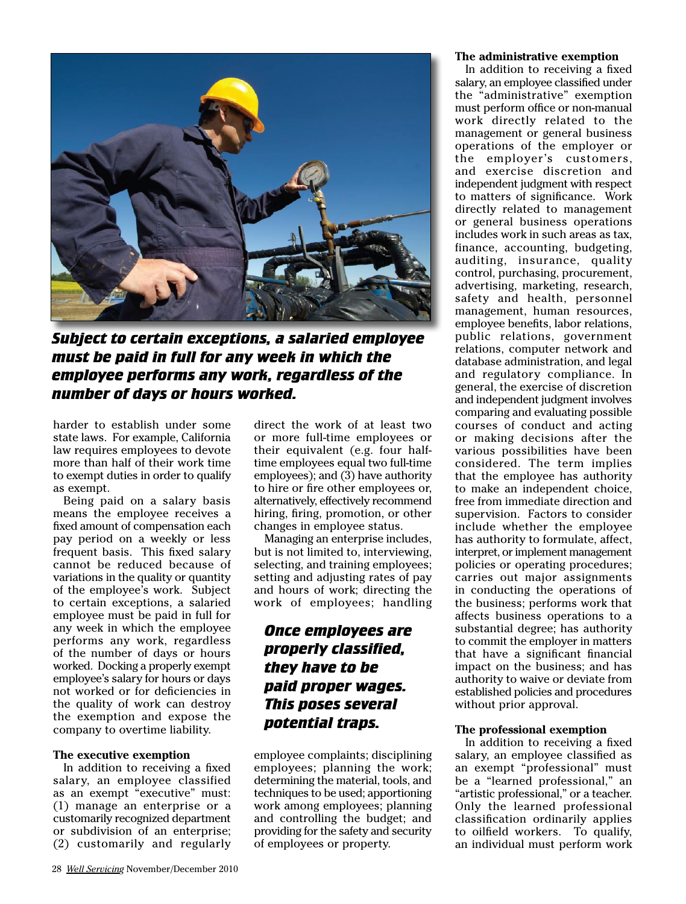

*Subject to certain exceptions, a salaried employee must be paid in full for any week in which the employee performs any work, regardless of the number of days or hours worked.*

harder to establish under some state laws. For example, California law requires employees to devote more than half of their work time to exempt duties in order to qualify as exempt.

Being paid on a salary basis means the employee receives a fixed amount of compensation each pay period on a weekly or less frequent basis. This fixed salary cannot be reduced because of variations in the quality or quantity of the employee's work. Subject to certain exceptions, a salaried employee must be paid in full for any week in which the employee performs any work, regardless of the number of days or hours worked. Docking a properly exempt employee's salary for hours or days not worked or for deficiencies in the quality of work can destroy the exemption and expose the company to overtime liability.

### **The executive exemption**

In addition to receiving a fixed salary, an employee classified as an exempt "executive" must: (1) manage an enterprise or a customarily recognized department or subdivision of an enterprise; (2) customarily and regularly direct the work of at least two or more full-time employees or their equivalent (e.g. four halftime employees equal two full-time employees); and (3) have authority to hire or fire other employees or, alternatively, effectively recommend hiring, firing, promotion, or other changes in employee status.

Managing an enterprise includes, but is not limited to, interviewing, selecting, and training employees; setting and adjusting rates of pay and hours of work; directing the work of employees; handling

## *Once employees are properly classified, they have to be paid proper wages. This poses several potential traps.*

employee complaints; disciplining employees; planning the work; determining the material, tools, and techniques to be used; apportioning work among employees; planning and controlling the budget; and providing for the safety and security of employees or property.

#### **The administrative exemption**

In addition to receiving a fixed salary, an employee classified under the "administrative" exemption must perform office or non-manual work directly related to the management or general business operations of the employer or the employer's customers, and exercise discretion and independent judgment with respect to matters of significance. Work directly related to management or general business operations includes work in such areas as tax, finance, accounting, budgeting, auditing, insurance, quality control, purchasing, procurement, advertising, marketing, research, safety and health, personnel management, human resources, employee benefits, labor relations, public relations, government relations, computer network and database administration, and legal and regulatory compliance. In general, the exercise of discretion and independent judgment involves comparing and evaluating possible courses of conduct and acting or making decisions after the various possibilities have been considered. The term implies that the employee has authority to make an independent choice, free from immediate direction and supervision. Factors to consider include whether the employee has authority to formulate, affect, interpret, or implement management policies or operating procedures; carries out major assignments in conducting the operations of the business; performs work that affects business operations to a substantial degree; has authority to commit the employer in matters that have a significant financial impact on the business; and has authority to waive or deviate from established policies and procedures without prior approval.

### **The professional exemption**

In addition to receiving a fixed salary, an employee classified as an exempt "professional" must be a "learned professional," an "artistic professional," or a teacher. Only the learned professional classification ordinarily applies to oilfield workers. To qualify, an individual must perform work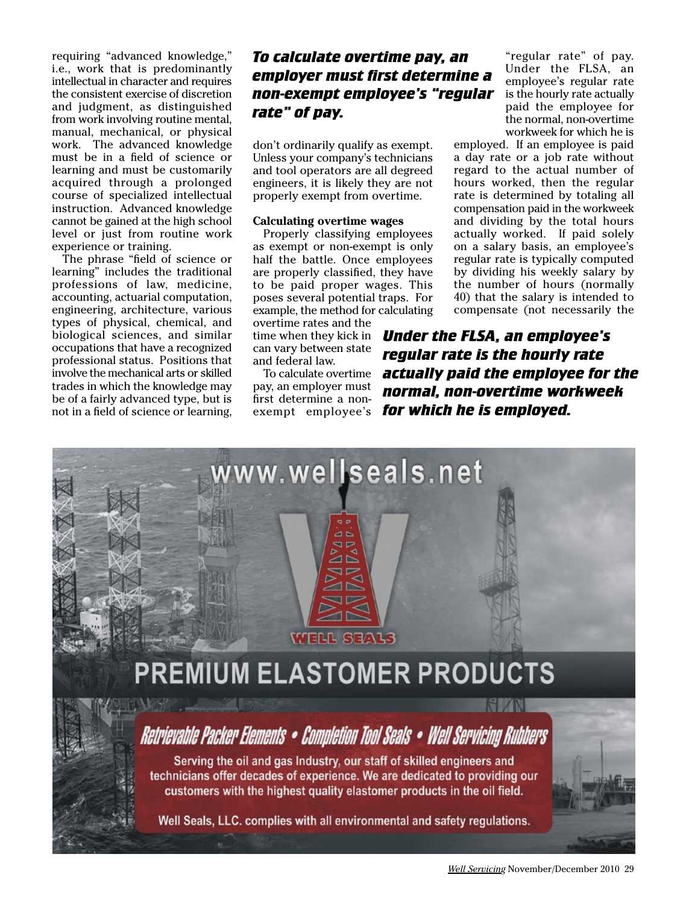requiring "advanced knowledge," i.e., work that is predominantly intellectual in character and requires the consistent exercise of discretion and judgment, as distinguished from work involving routine mental, manual, mechanical, or physical work. The advanced knowledge must be in a field of science or learning and must be customarily acquired through a prolonged course of specialized intellectual instruction. Advanced knowledge cannot be gained at the high school level or just from routine work experience or training.

The phrase "field of science or learning" includes the traditional professions of law, medicine, accounting, actuarial computation, engineering, architecture, various types of physical, chemical, and biological sciences, and similar occupations that have a recognized professional status. Positions that involve the mechanical arts or skilled trades in which the knowledge may be of a fairly advanced type, but is not in a field of science or learning,

# *To calculate overtime pay, an employer must first determine a non-exempt employee's "regular rate" of pay.*

don't ordinarily qualify as exempt. Unless your company's technicians and tool operators are all degreed engineers, it is likely they are not properly exempt from overtime.

### **Calculating overtime wages**

Properly classifying employees as exempt or non-exempt is only half the battle. Once employees are properly classified, they have to be paid proper wages. This poses several potential traps. For example, the method for calculating

overtime rates and the time when they kick in can vary between state and federal law.

To calculate overtime pay, an employer must first determine a nonexempt employee's

"regular rate" of pay. Under the FLSA, an employee's regular rate is the hourly rate actually paid the employee for the normal, non-overtime workweek for which he is

employed. If an employee is paid a day rate or a job rate without regard to the actual number of hours worked, then the regular rate is determined by totaling all compensation paid in the workweek and dividing by the total hours actually worked. If paid solely on a salary basis, an employee's regular rate is typically computed by dividing his weekly salary by the number of hours (normally 40) that the salary is intended to compensate (not necessarily the

*Under the FLSA, an employee's regular rate is the hourly rate actually paid the employee for the normal, non-overtime workweek for which he is employed.* 



Well Seals, LLC. complies with all environmental and safety regulations.